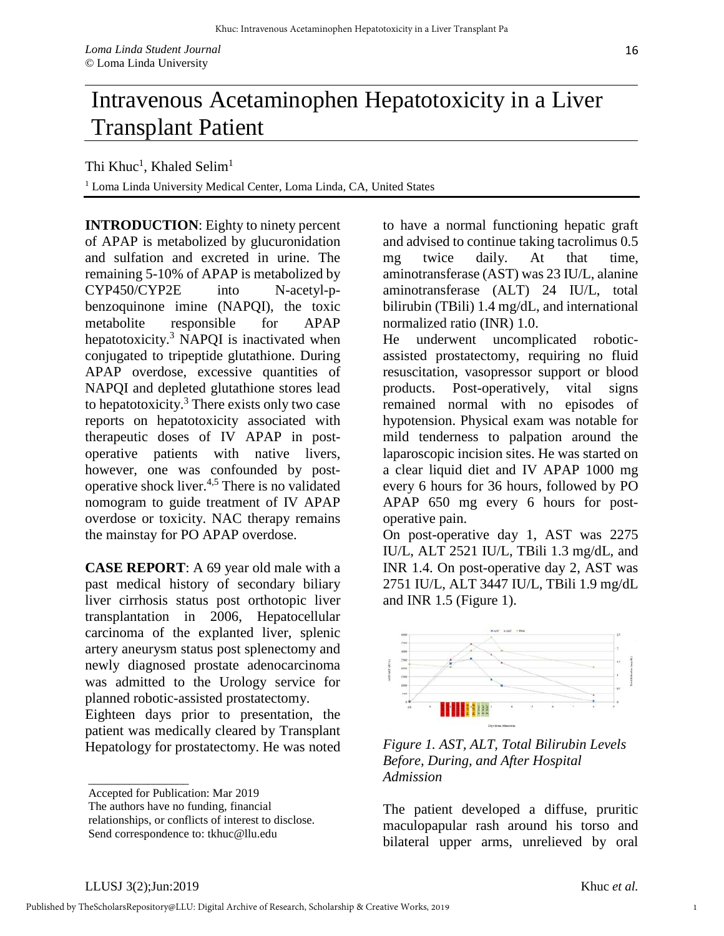## Intravenous Acetaminophen Hepatotoxicity in a Liver Transplant Patient

Thi Khuc<sup>1</sup>, Khaled Selim<sup>1</sup>

<sup>1</sup> Loma Linda University Medical Center, Loma Linda, CA, United States

**INTRODUCTION**: Eighty to ninety percent of APAP is metabolized by glucuronidation and sulfation and excreted in urine. The remaining 5-10% of APAP is metabolized by CYP450/CYP2E into N-acetyl-pbenzoquinone imine (NAPQI), the toxic metabolite responsible for APAP hepatotoxicity. $3$  NAPQI is inactivated when conjugated to tripeptide glutathione. During APAP overdose, excessive quantities of NAPQI and depleted glutathione stores lead to hepatotoxicity. $3$  There exists only two case reports on hepatotoxicity associated with therapeutic doses of IV APAP in postoperative patients with native livers, however, one was confounded by postoperative shock liver.4,5 There is no validated nomogram to guide treatment of IV APAP overdose or toxicity. NAC therapy remains the mainstay for PO APAP overdose.

**CASE REPORT**: A 69 year old male with a past medical history of secondary biliary liver cirrhosis status post orthotopic liver transplantation in 2006, Hepatocellular carcinoma of the explanted liver, splenic artery aneurysm status post splenectomy and newly diagnosed prostate adenocarcinoma was admitted to the Urology service for planned robotic-assisted prostatectomy.

Eighteen days prior to presentation, the patient was medically cleared by Transplant Hepatology for prostatectomy. He was noted to have a normal functioning hepatic graft and advised to continue taking tacrolimus 0.5 mg twice daily. At that time, aminotransferase (AST) was 23 IU/L, alanine aminotransferase (ALT) 24 IU/L, total bilirubin (TBili) 1.4 mg/dL, and international normalized ratio (INR) 1.0.

He underwent uncomplicated roboticassisted prostatectomy, requiring no fluid resuscitation, vasopressor support or blood products. Post-operatively, vital signs remained normal with no episodes of hypotension. Physical exam was notable for mild tenderness to palpation around the laparoscopic incision sites. He was started on a clear liquid diet and IV APAP 1000 mg every 6 hours for 36 hours, followed by PO APAP 650 mg every 6 hours for postoperative pain.

On post-operative day 1, AST was 2275 IU/L, ALT 2521 IU/L, TBili 1.3 mg/dL, and INR 1.4. On post-operative day 2, AST was 2751 IU/L, ALT 3447 IU/L, TBili 1.9 mg/dL and INR 1.5 (Figure 1).



*Figure 1. AST, ALT, Total Bilirubin Levels Before, During, and After Hospital Admission* 

The patient developed a diffuse, pruritic maculopapular rash around his torso and bilateral upper arms, unrelieved by oral

\_\_\_\_\_\_\_\_\_\_\_\_\_\_\_\_\_

1

Accepted for Publication: Mar 2019

The authors have no funding, financial

relationships, or conflicts of interest to disclose. Send correspondence to: tkhuc@llu.edu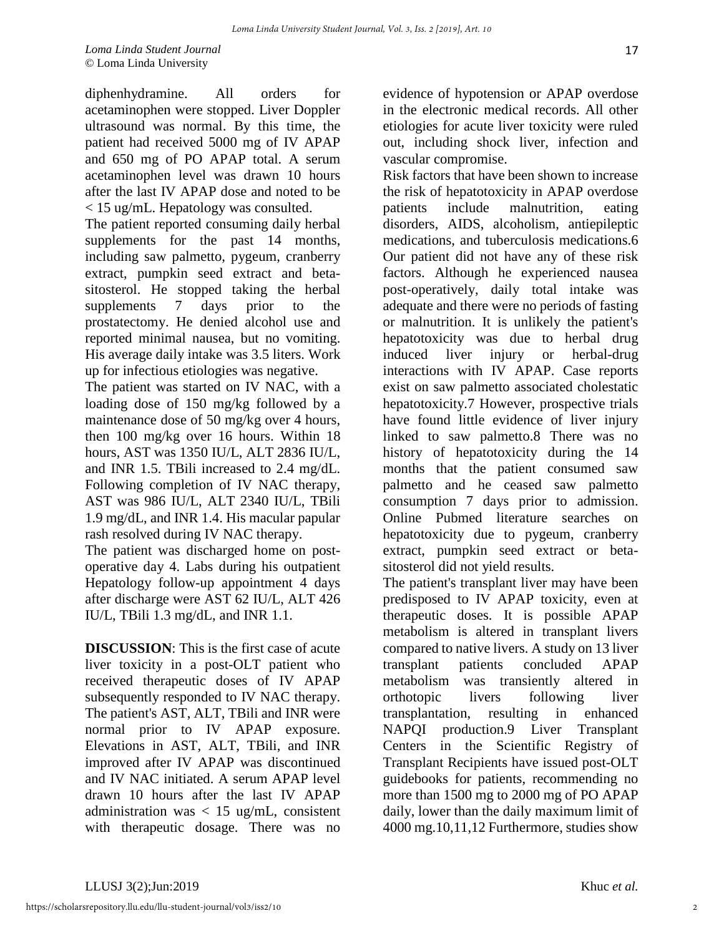diphenhydramine. All orders for acetaminophen were stopped. Liver Doppler ultrasound was normal. By this time, the patient had received 5000 mg of IV APAP and 650 mg of PO APAP total. A serum acetaminophen level was drawn 10 hours after the last IV APAP dose and noted to be < 15 ug/mL. Hepatology was consulted.

The patient reported consuming daily herbal supplements for the past 14 months, including saw palmetto, pygeum, cranberry extract, pumpkin seed extract and betasitosterol. He stopped taking the herbal supplements 7 days prior to the prostatectomy. He denied alcohol use and reported minimal nausea, but no vomiting. His average daily intake was 3.5 liters. Work up for infectious etiologies was negative.

The patient was started on IV NAC, with a loading dose of 150 mg/kg followed by a maintenance dose of 50 mg/kg over 4 hours, then 100 mg/kg over 16 hours. Within 18 hours, AST was 1350 IU/L, ALT 2836 IU/L, and INR 1.5. TBili increased to 2.4 mg/dL. Following completion of IV NAC therapy, AST was 986 IU/L, ALT 2340 IU/L, TBili 1.9 mg/dL, and INR 1.4. His macular papular rash resolved during IV NAC therapy.

The patient was discharged home on postoperative day 4. Labs during his outpatient Hepatology follow-up appointment 4 days after discharge were AST 62 IU/L, ALT 426 IU/L, TBili 1.3 mg/dL, and INR 1.1.

**DISCUSSION**: This is the first case of acute liver toxicity in a post-OLT patient who received therapeutic doses of IV APAP subsequently responded to IV NAC therapy. The patient's AST, ALT, TBili and INR were normal prior to IV APAP exposure. Elevations in AST, ALT, TBili, and INR improved after IV APAP was discontinued and IV NAC initiated. A serum APAP level drawn 10 hours after the last IV APAP administration was  $< 15$  ug/mL, consistent with therapeutic dosage. There was no

evidence of hypotension or APAP overdose in the electronic medical records. All other etiologies for acute liver toxicity were ruled out, including shock liver, infection and vascular compromise.

Risk factors that have been shown to increase the risk of hepatotoxicity in APAP overdose patients include malnutrition, eating disorders, AIDS, alcoholism, antiepileptic medications, and tuberculosis medications.6 Our patient did not have any of these risk factors. Although he experienced nausea post-operatively, daily total intake was adequate and there were no periods of fasting or malnutrition. It is unlikely the patient's hepatotoxicity was due to herbal drug induced liver injury or herbal-drug interactions with IV APAP. Case reports exist on saw palmetto associated cholestatic hepatotoxicity.7 However, prospective trials have found little evidence of liver injury linked to saw palmetto.8 There was no history of hepatotoxicity during the 14 months that the patient consumed saw palmetto and he ceased saw palmetto consumption 7 days prior to admission. Online Pubmed literature searches on hepatotoxicity due to pygeum, cranberry extract, pumpkin seed extract or betasitosterol did not yield results.

The patient's transplant liver may have been predisposed to IV APAP toxicity, even at therapeutic doses. It is possible APAP metabolism is altered in transplant livers compared to native livers. A study on 13 liver transplant patients concluded APAP metabolism was transiently altered in orthotopic livers following liver transplantation, resulting in enhanced NAPQI production.9 Liver Transplant Centers in the Scientific Registry of Transplant Recipients have issued post-OLT guidebooks for patients, recommending no more than 1500 mg to 2000 mg of PO APAP daily, lower than the daily maximum limit of 4000 mg.10,11,12 Furthermore, studies show